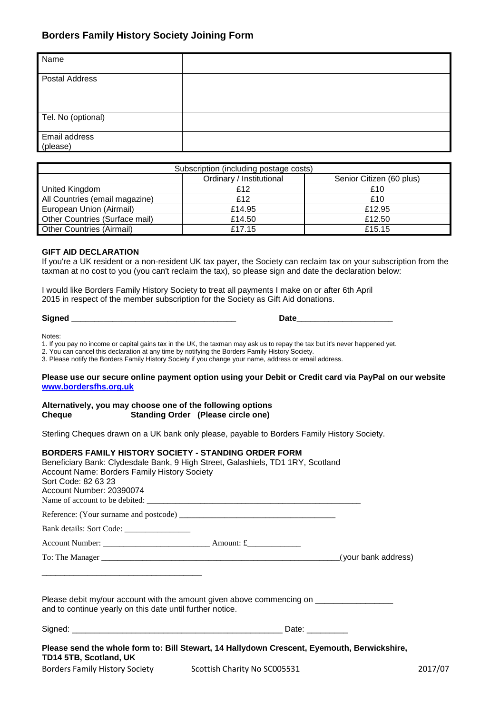# **Borders Family History Society Joining Form**

| Name                             |  |
|----------------------------------|--|
| Postal Address                   |  |
| Tel. No (optional)               |  |
| <b>Email address</b><br>(please) |  |

| Subscription (including postage costs) |                          |                          |  |  |
|----------------------------------------|--------------------------|--------------------------|--|--|
|                                        | Ordinary / Institutional | Senior Citizen (60 plus) |  |  |
| United Kingdom                         | £12                      | £10                      |  |  |
| All Countries (email magazine)         | £12                      | £10                      |  |  |
| European Union (Airmail)               | £14.95                   | £12.95                   |  |  |
| Other Countries (Surface mail)         | £14.50                   | £12.50                   |  |  |
| <b>Other Countries (Airmail)</b>       | £17.15                   | £15.15                   |  |  |

### **GIFT AID DECLARATION**

If you're a UK resident or a non-resident UK tax payer, the Society can reclaim tax on your subscription from the taxman at no cost to you (you can't reclaim the tax), so please sign and date the declaration below:

I would like Borders Family History Society to treat all payments I make on or after 6th April 2015 in respect of the member subscription for the Society as Gift Aid donations.

**Signed \_\_\_\_\_\_\_\_\_\_\_\_\_\_\_\_\_\_\_\_\_\_\_\_\_\_\_\_\_\_\_\_\_\_\_\_ Date\_\_\_\_\_\_\_\_\_\_\_\_\_\_\_\_\_\_\_\_\_**

Notes:

1. If you pay no income or capital gains tax in the UK, the taxman may ask us to repay the tax but it's never happened yet.

2. You can cancel this declaration at any time by notifying the Borders Family History Society.

3. Please notify the Borders Family History Society if you change your name, address or email address.

#### **Please use our secure online payment option using your Debit or Credit card via PayPal on our website [www.bordersfhs.org.uk](http://www.bordersfhs.org.uk/)**

### **Alternatively, you may choose one of the following options Cheque** Standing Order (Please circle one)

Sterling Cheques drawn on a UK bank only please, payable to Borders Family History Society.

#### **BORDERS FAMILY HISTORY SOCIETY - STANDING ORDER FORM**

| Account Name: Borders Family History Society<br>Sort Code: 82 63 23<br>Account Number: 20390074 | Beneficiary Bank: Clydesdale Bank, 9 High Street, Galashiels, TD1 1RY, Scotland             |         |
|-------------------------------------------------------------------------------------------------|---------------------------------------------------------------------------------------------|---------|
|                                                                                                 |                                                                                             |         |
|                                                                                                 |                                                                                             |         |
|                                                                                                 |                                                                                             |         |
|                                                                                                 |                                                                                             |         |
|                                                                                                 | Please debit my/our account with the amount given above commencing on _______________       |         |
| and to continue yearly on this date until further notice.                                       |                                                                                             |         |
|                                                                                                 |                                                                                             |         |
| TD14 5TB, Scotland, UK                                                                          | Please send the whole form to: Bill Stewart, 14 Hallydown Crescent, Eyemouth, Berwickshire, |         |
| Borders Family History Society Scottish Charity No SC005531                                     |                                                                                             | 2017/07 |